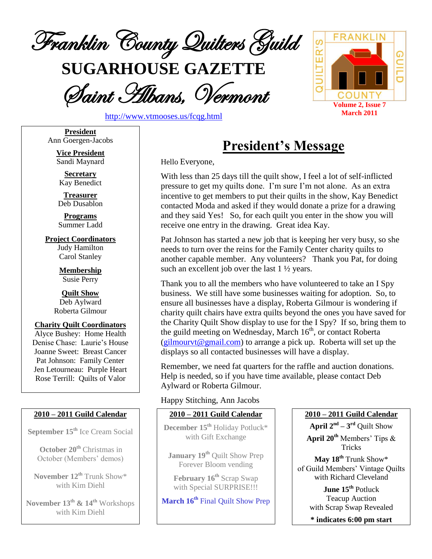

**SUGARHOUSE GAZETTE**

Saint Albans, Vermont



<http://www.vtmooses.us/fcqg.html>

**President** Ann Goergen-Jacobs

> **Vice President** Sandi Maynard

**Secretary** Kay Benedict

**Treasurer** Deb Dusablon

**Programs** Summer Ladd

**Project Coordinators** Judy Hamilton Carol Stanley

> **Membership** Susie Perry

**Quilt Show** Deb Aylward Roberta Gilmour

**Charity Quilt Coordinators** Alyce Bushey: Home Health Denise Chase: Laurie's House Joanne Sweet: Breast Cancer Pat Johnson: Family Center Jen Letourneau: Purple Heart Rose Terrill: Quilts of Valor

## **2010 – 2011 Guild Calendar**

**September 15th** Ice Cream Social

**October 20 th** Christmas in October (Members' demos)

**November 12th** Trunk Show\* with Kim Diehl

**November 13 th & 14th** Workshops with Kim Diehl

# **President's Message**

Hello Everyone,

With less than 25 days till the quilt show, I feel a lot of self-inflicted pressure to get my quilts done. I'm sure I'm not alone. As an extra incentive to get members to put their quilts in the show, Kay Benedict contacted Moda and asked if they would donate a prize for a drawing and they said Yes! So, for each quilt you enter in the show you will receive one entry in the drawing. Great idea Kay.

Pat Johnson has started a new job that is keeping her very busy, so she needs to turn over the reins for the Family Center charity quilts to another capable member. Any volunteers? Thank you Pat, for doing such an excellent job over the last 1 ½ years.

Thank you to all the members who have volunteered to take an I Spy business. We still have some businesses waiting for adoption. So, to ensure all businesses have a display, Roberta Gilmour is wondering if charity quilt chairs have extra quilts beyond the ones you have saved for the Charity Quilt Show display to use for the I Spy? If so, bring them to the guild meeting on Wednesday, March 16<sup>th</sup>, or contact Roberta  $\left(\frac{\text{gilmour}}{\text{gmanil.com}}\right)$  to arrange a pick up. Roberta will set up the displays so all contacted businesses will have a display.

Remember, we need fat quarters for the raffle and auction donations. Help is needed, so if you have time available, please contact Deb Aylward or Roberta Gilmour.

# Happy Stitching, Ann Jacobs

# **2010 – 2011 Guild Calendar**

**December 15th** Holiday Potluck\* with Gift Exchange

**January 19th** Quilt Show Prep Forever Bloom vending

**February 16th** Scrap Swap with Special SURPRISE!!!

**March 16th** Final Quilt Show Prep

# **2010 – 2011 Guild Calendar**

**April 2 nd – 3 rd** Quilt Show **April 20th** Members' Tips & Tricks

**May 18th** Trunk Show\* of Guild Members' Vintage Quilts with Richard Cleveland

> **June 15th** Potluck Teacup Auction with Scrap Swap Revealed

**\* indicates 6:00 pm start**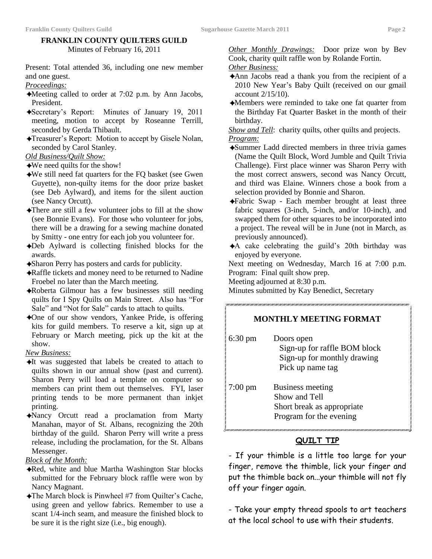### **FRANKLIN COUNTY QUILTERS GUILD** Minutes of February 16, 2011

Present: Total attended 36, including one new member and one guest.

*Proceedings:*

- ✦Meeting called to order at 7:02 p.m. by Ann Jacobs, President.
- ✦Secretary's Report: Minutes of January 19, 2011 meeting, motion to accept by Roseanne Terrill, seconded by Gerda Thibault.
- ✦Treasurer's Report: Motion to accept by Gisele Nolan, seconded by Carol Stanley.

*Old Business/Quilt Show:*

✦We need quilts for the show!

- ✦We still need fat quarters for the FQ basket (see Gwen Guyette), non-quilty items for the door prize basket (see Deb Aylward), and items for the silent auction (see Nancy Orcutt).
- ✦There are still a few volunteer jobs to fill at the show (see Bonnie Evans). For those who volunteer for jobs, there will be a drawing for a sewing machine donated by Smitty - one entry for each job you volunteer for.
- ✦Deb Aylward is collecting finished blocks for the awards.
- ✦Sharon Perry has posters and cards for publicity.
- ✦Raffle tickets and money need to be returned to Nadine Froebel no later than the March meeting.
- ✦Roberta Gilmour has a few businesses still needing quilts for I Spy Quilts on Main Street. Also has "For Sale" and "Not for Sale" cards to attach to quilts.
- ✦One of our show vendors, Yankee Pride, is offering kits for guild members. To reserve a kit, sign up at February or March meeting, pick up the kit at the show.

*New Business:*

- ✦It was suggested that labels be created to attach to quilts shown in our annual show (past and current). Sharon Perry will load a template on computer so members can print them out themselves. FYI, laser printing tends to be more permanent than inkjet printing.
- ✦Nancy Orcutt read a proclamation from Marty Manahan, mayor of St. Albans, recognizing the 20th birthday of the guild. Sharon Perry will write a press release, including the proclamation, for the St. Albans Messenger.

*Block of the Month:*

- ✦Red, white and blue Martha Washington Star blocks submitted for the February block raffle were won by Nancy Magnant.
- ✦The March block is Pinwheel #7 from Quilter's Cache, using green and yellow fabrics. Remember to use a scant 1/4-inch seam, and measure the finished block to be sure it is the right size (i.e., big enough).

*Other Monthly Drawings:* Door prize won by Bev Cook, charity quilt raffle won by Rolande Fortin.

### *Other Business:*

- ✦Ann Jacobs read a thank you from the recipient of a 2010 New Year's Baby Quilt (received on our gmail account 2/15/10).
- ✦Members were reminded to take one fat quarter from the Birthday Fat Quarter Basket in the month of their birthday.

*Show and Tell:* charity quilts, other quilts and projects.

*Program:*

- ✦Summer Ladd directed members in three trivia games (Name the Quilt Block, Word Jumble and Quilt Trivia Challenge). First place winner was Sharon Perry with the most correct answers, second was Nancy Orcutt, and third was Elaine. Winners chose a book from a selection provided by Bonnie and Sharon.
- ✦Fabric Swap Each member brought at least three fabric squares (3-inch, 5-inch, and/or 10-inch), and swapped them for other squares to be incorporated into a project. The reveal will be in June (not in March, as previously announced).
- ✦A cake celebrating the guild's 20th birthday was enjoyed by everyone.

Next meeting on Wednesday, March 16 at 7:00 p.m. Program: Final quilt show prep.

Meeting adjourned at 8:30 p.m.

Minutes submitted by Kay Benedict, Secretary

## **MONTHLY MEETING FORMAT**

| <b>B.V.WAVAN</b><br>$6:30 \text{ pm}$ | Doors open<br>Sign-up for raffle BOM block<br>Sign-up for monthly drawing<br>Pick up name tag |
|---------------------------------------|-----------------------------------------------------------------------------------------------|
| $7:00 \text{ pm}$                     | Business meeting<br>Show and Tell<br>Short break as appropriate<br>Program for the evening    |

## **QUILT TIP**

- If your thimble is a little too large for your finger, remove the thimble, lick your finger and put the thimble back on...your thimble will not fly off your finger again.

- Take your empty thread spools to art teachers at the local school to use with their students.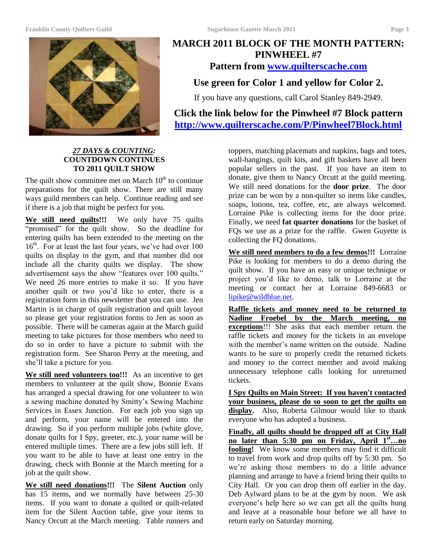#### **Franklin County Quilters Guild Sugarhouse Gazette March 2011 Page 3**



# **MARCH 2011 BLOCK OF THE MONTH PATTERN: PINWHEEL #7 Pattern from [www.quilterscache.com](http://www.quilterscache.com/) Use green for Color 1 and yellow for Color 2.**

If you have any questions, call Carol Stanley 849-2949.

**Click the link below for the Pinwheel #7 Block pattern <http://www.quilterscache.com/P/Pinwheel7Block.html>**

### *27 DAYS & COUNTING:* **COUNTDOWN CONTINUES TO 2011 QUILT SHOW**

The quilt show committee met on March  $10<sup>th</sup>$  to continue preparations for the quilt show. There are still many ways guild members can help. Continue reading and see if there is a job that might be perfect for you.

**We still need quilts!!!** We only have 75 quilts "promised" for the quilt show. So the deadline for entering quilts has been extended to the meeting on the 16<sup>th</sup>. For at least the last four years, we've had over 100 quilts on display in the gym, and that number did not include all the charity quilts we display. The show advertisement says the show "features over 100 quilts." We need 26 more entries to make it so. If you have another quilt or two you'd like to enter, there is a registration form in this newsletter that you can use. Jen Martin is in charge of quilt registration and quilt layout so please get your registration forms to Jen as soon as possible. There will be cameras again at the March guild meeting to take pictures for those members who need to do so in order to have a picture to submit with the registration form. See Sharon Perry at the meeting, and she'll take a picture for you.

We still need volunteers too!!! As an incentive to get members to volunteer at the quilt show, Bonnie Evans has arranged a special drawing for one volunteer to win a sewing machine donated by Smitty's Sewing Machine Services in Essex Junction. For each job you sign up and perform, your name will be entered into the drawing. So if you perform multiple jobs (white glove, donate quilts for I Spy, greeter, etc.), your name will be entered multiple times. There are a few jobs still left. If you want to be able to have at least one entry in the drawing, check with Bonnie at the March meeting for a job at the quilt show.

**We still need donations!!!** The **Silent Auction** only has 15 items, and we normally have between 25-30 items. If you want to donate a quilted or quilt-related item for the Silent Auction table, give your items to Nancy Orcutt at the March meeting. Table runners and

toppers, matching placemats and napkins, bags and totes, wall-hangings, quilt kits, and gift baskets have all been popular sellers in the past. If you have an item to donate, give them to Nancy Orcutt at the guild meeting. We still need donations for the **door prize**. The door prize can be won by a non-quilter so items like candles, soaps, lotions, tea, coffee, etc, are always welcomed. Lorraine Pike is collecting items for the door prize. Finally, we need **fat quarter donations** for the basket of FQs we use as a prize for the raffle. Gwen Guyette is collecting the FQ donations.

**We still need members to do a few demos!!!** Lorraine Pike is looking for members to do a demo during the quilt show. If you have an easy or unique technique or project you'd like to demo, talk to Lorraine at the meeting or contact her at Lorraine 849-6683 or [lipike@wildblue.net.](mailto:lipike@wildblue.net)

**Raffle tickets and money need to be returned to Nadine Froebel by the March meeting, no exceptions**!!! She asks that each member return the raffle tickets and money for the tickets in an envelope with the member's name written on the outside. Nadine wants to be sure to properly credit the returned tickets and money to the correct member and avoid making unnecessary telephone calls looking for unreturned tickets.

**I Spy Quilts on Main Street: If you haven't contacted your business, please do so soon to get the quilts on**  display. Also, Roberta Gilmour would like to thank everyone who has adopted a business.

**Finally, all quilts should be dropped off at City Hall no later than 5:30 pm on Friday, April 1st…no fooling!** We know some members may find it difficult to travel from work and drop quilts off by 5:30 pm. So we're asking those members to do a little advance planning and arrange to have a friend bring their quilts to City Hall. Or you can drop them off earlier in the day. Deb Aylward plans to be at the gym by noon. We ask everyone's help here so we can get all the quilts hung and leave at a reasonable hour before we all have to return early on Saturday morning.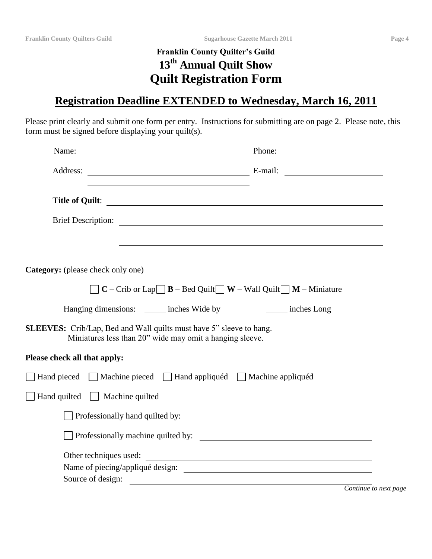# **Franklin County Quilter's Guild 13th Annual Quilt Show Quilt Registration Form**

# **Registration Deadline EXTENDED to Wednesday, March 16, 2011**

Please print clearly and submit one form per entry. Instructions for submitting are on page 2. Please note, this form must be signed before displaying your quilt(s).

| Name:                                    |                                                                                                                                        | Phone:                                                     |
|------------------------------------------|----------------------------------------------------------------------------------------------------------------------------------------|------------------------------------------------------------|
|                                          |                                                                                                                                        |                                                            |
|                                          |                                                                                                                                        | Title of Quilt:                                            |
|                                          |                                                                                                                                        |                                                            |
|                                          |                                                                                                                                        |                                                            |
| <b>Category:</b> (please check only one) |                                                                                                                                        |                                                            |
|                                          | $C$ – Crib or Lap $\Box$ <b>B</b> – Bed Quilt $\Box$ <b>W</b> – Wall Quilt $\Box$ <b>M</b> – Miniature                                 |                                                            |
|                                          | Hanging dimensions: _______ inches Wide by                                                                                             | inches Long                                                |
|                                          | <b>SLEEVES:</b> Crib/Lap, Bed and Wall quilts must have 5" sleeve to hang.<br>Miniatures less than 20" wide may omit a hanging sleeve. |                                                            |
| Please check all that apply:             |                                                                                                                                        |                                                            |
|                                          | □ Hand pieced □ Machine pieced □ Hand appliquéd □ Machine appliquéd                                                                    |                                                            |
| Hand quilted $\Box$ Machine quilted      |                                                                                                                                        |                                                            |
|                                          |                                                                                                                                        |                                                            |
|                                          |                                                                                                                                        |                                                            |
| Source of design:                        |                                                                                                                                        | Other techniques used:<br>Name of piecing/appliqué design: |
|                                          |                                                                                                                                        | Continue to next page                                      |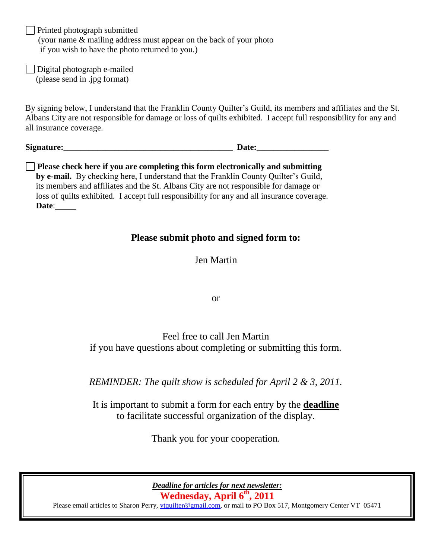**Printed photograph submitted**  (your name & mailing address must appear on the back of your photo if you wish to have the photo returned to you.)

Digital photograph e-mailed (please send in .jpg format)

By signing below, I understand that the Franklin County Quilter's Guild, its members and affiliates and the St. Albans City are not responsible for damage or loss of quilts exhibited. I accept full responsibility for any and all insurance coverage.

**Signature:\_\_\_\_\_\_\_\_\_\_\_\_\_\_\_\_\_\_\_\_\_\_\_\_\_\_\_\_\_\_\_\_\_\_\_\_\_\_\_\_ Date:\_\_\_\_\_\_\_\_\_\_\_\_\_\_\_\_\_**

**Please check here if you are completing this form electronically and submitting by e-mail.** By checking here, I understand that the Franklin County Quilter's Guild, its members and affiliates and the St. Albans City are not responsible for damage or loss of quilts exhibited. I accept full responsibility for any and all insurance coverage. **Date**:

# **Please submit photo and signed form to:**

Jen Martin

or

Feel free to call Jen Martin if you have questions about completing or submitting this form.

*REMINDER: The quilt show is scheduled for April 2 & 3, 2011.*

It is important to submit a form for each entry by the **deadline** to facilitate successful organization of the display.

Thank you for your cooperation.

*Deadline for articles for next newsletter:* **Wednesday, April 6th , 2011**

Please email articles to Sharon Perry, *vtquilter@gmail.com*, or mail to PO Box 517, Montgomery Center VT 05471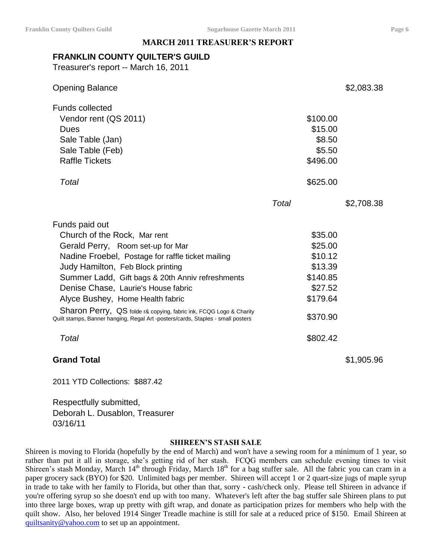### **MARCH 2011 TREASURER'S REPORT**

# **FRANKLIN COUNTY QUILTER'S GUILD**

Treasurer's report -- March 16, 2011

| <b>Opening Balance</b>                                                                                                                                                                                                                                                                                                                                                                                                                                                         |                                                                                                     | \$2,083.38 |
|--------------------------------------------------------------------------------------------------------------------------------------------------------------------------------------------------------------------------------------------------------------------------------------------------------------------------------------------------------------------------------------------------------------------------------------------------------------------------------|-----------------------------------------------------------------------------------------------------|------------|
| <b>Funds collected</b><br>Vendor rent (QS 2011)<br>Dues<br>Sale Table (Jan)<br>Sale Table (Feb)<br><b>Raffle Tickets</b>                                                                                                                                                                                                                                                                                                                                                       | \$100.00<br>\$15.00<br>\$8.50<br>\$5.50<br>\$496.00                                                 |            |
| Total                                                                                                                                                                                                                                                                                                                                                                                                                                                                          | \$625.00                                                                                            |            |
|                                                                                                                                                                                                                                                                                                                                                                                                                                                                                | Total                                                                                               | \$2,708.38 |
| Funds paid out<br>Church of the Rock, Mar rent<br>Gerald Perry, Room set-up for Mar<br>Nadine Froebel, Postage for raffle ticket mailing<br>Judy Hamilton, Feb Block printing<br>Summer Ladd, Gift bags & 20th Anniv refreshments<br>Denise Chase, Laurie's House fabric<br>Alyce Bushey, Home Health fabric<br>Sharon Perry, QS folde r& copying, fabric ink, FCQG Logo & Charity<br>Quilt stamps, Banner hanging, Regal Art -posters/cards, Staples - small posters<br>Total | \$35.00<br>\$25.00<br>\$10.12<br>\$13.39<br>\$140.85<br>\$27.52<br>\$179.64<br>\$370.90<br>\$802.42 |            |
| <b>Grand Total</b>                                                                                                                                                                                                                                                                                                                                                                                                                                                             |                                                                                                     | \$1,905.96 |

2011 YTD Collections: \$887.42

Respectfully submitted, Deborah L. Dusablon, Treasurer 03/16/11

### **SHIREEN'S STASH SALE**

Shireen is moving to Florida (hopefully by the end of March) and won't have a sewing room for a minimum of 1 year, so rather than put it all in storage, she's getting rid of her stash. FCQG members can schedule evening times to visit Shireen's stash Monday, March 14<sup>th</sup> through Friday, March 18<sup>th</sup> for a bag stuffer sale. All the fabric you can cram in a paper grocery sack (BYO) for \$20. Unlimited bags per member. Shireen will accept 1 or 2 quart-size jugs of maple syrup in trade to take with her family to Florida, but other than that, sorry - cash/check only. Please tell Shireen in advance if you're offering syrup so she doesn't end up with too many. Whatever's left after the bag stuffer sale Shireen plans to put into three large boxes, wrap up pretty with gift wrap, and donate as participation prizes for members who help with the quilt show. Also, her beloved 1914 Singer Treadle machine is still for sale at a reduced price of \$150. Email Shireen at [quiltsanity@yahoo.com](mailto:quiltsanity@yahoo.com) to set up an appointment.